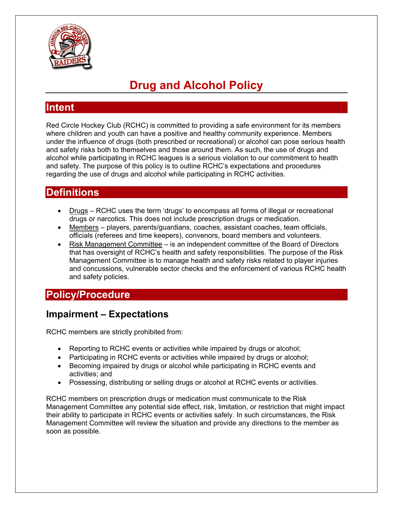

# **Drug and Alcohol Policy**

#### **Intent**

Red Circle Hockey Club (RCHC) is committed to providing a safe environment for its members where children and youth can have a positive and healthy community experience. Members under the influence of drugs (both prescribed or recreational) or alcohol can pose serious health and safety risks both to themselves and those around them. As such, the use of drugs and alcohol while participating in RCHC leagues is a serious violation to our commitment to health and safety. The purpose of this policy is to outline RCHC's expectations and procedures regarding the use of drugs and alcohol while participating in RCHC activities.

#### **Definitions**

- Drugs RCHC uses the term 'drugs' to encompass all forms of illegal or recreational drugs or narcotics. This does not include prescription drugs or medication.
- Members players, parents/guardians, coaches, assistant coaches, team officials, officials (referees and time keepers), convenors, board members and volunteers.
- Risk Management Committee is an independent committee of the Board of Directors that has oversight of RCHC's health and safety responsibilities. The purpose of the Risk Management Committee is to manage health and safety risks related to player injuries and concussions, vulnerable sector checks and the enforcement of various RCHC health and safety policies.

## **Policy/Procedure**

#### **Impairment – Expectations**

RCHC members are strictly prohibited from:

- Reporting to RCHC events or activities while impaired by drugs or alcohol;
- Participating in RCHC events or activities while impaired by drugs or alcohol;
- Becoming impaired by drugs or alcohol while participating in RCHC events and activities; and
- Possessing, distributing or selling drugs or alcohol at RCHC events or activities.

RCHC members on prescription drugs or medication must communicate to the Risk Management Committee any potential side effect, risk, limitation, or restriction that might impact their ability to participate in RCHC events or activities safely. In such circumstances, the Risk Management Committee will review the situation and provide any directions to the member as soon as possible.